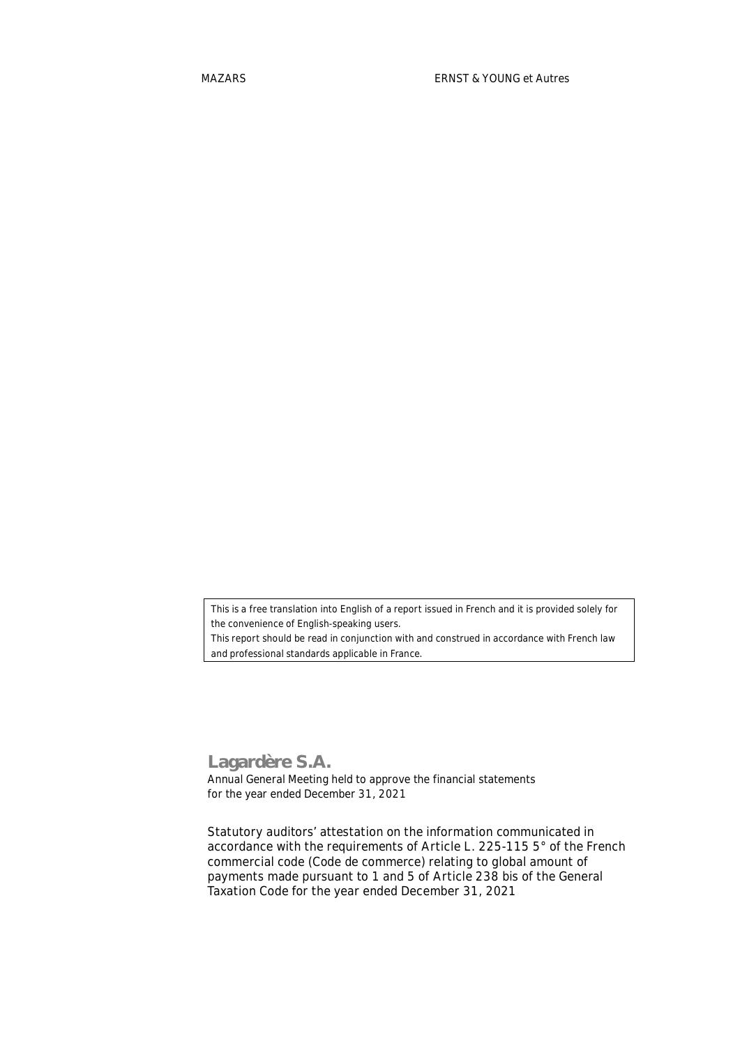*This is a free translation into English of a report issued in French and it is provided solely for the convenience of English-speaking users.*

*This report should be read in conjunction with and construed in accordance with French law and professional standards applicable in France.*

## **Lagardère S.A.**

Annual General Meeting held to approve the financial statements for the year ended December 31, 2021

**Statutory auditors' attestation on the information communicated in accordance with the requirements of Article L. 225-115 5° of the French commercial code (***Code de commerce***) relating to global amount of payments made pursuant to 1 and 5 of Article 238 bis of the General Taxation Code for the year ended December 31, 2021**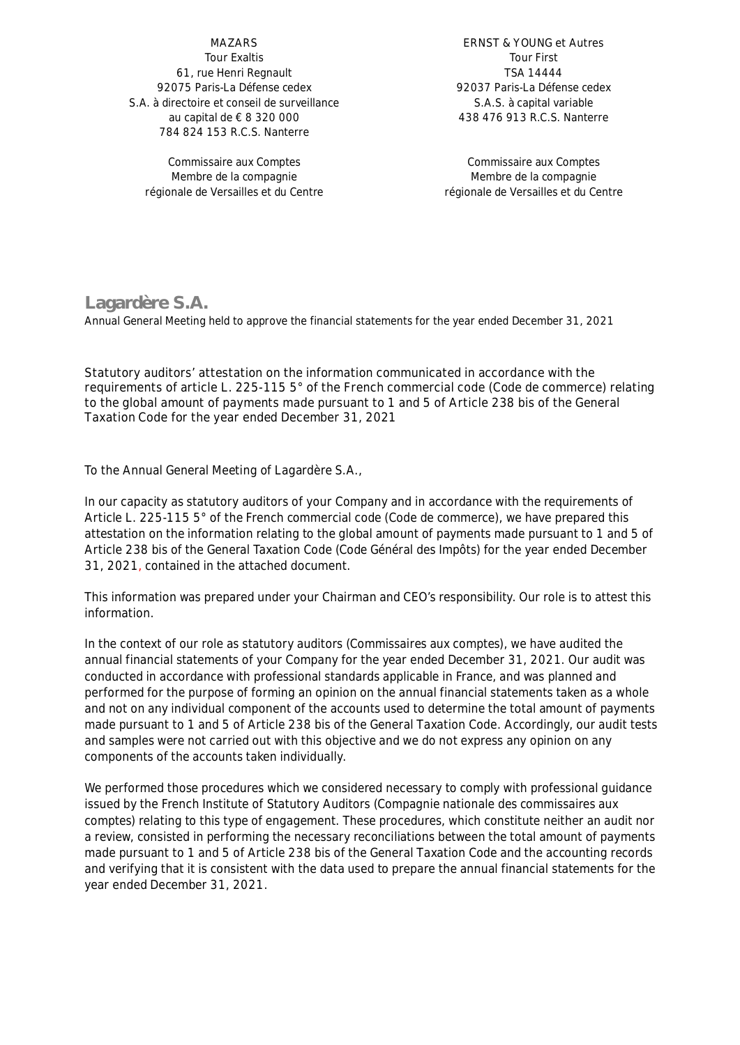**MAZARS** Tour Exaltis 61, rue Henri Regnault 92075 Paris-La Défense cedex S.A. à directoire et conseil de surveillance au capital de € 8 320 000 784 824 153 R.C.S. Nanterre

Commissaire aux Comptes Membre de la compagnie régionale de Versailles et du Centre

**ERNST & YOUNG et Autres** Tour First TSA 14444 92037 Paris-La Défense cedex S.A.S. à capital variable 438 476 913 R.C.S. Nanterre

Commissaire aux Comptes Membre de la compagnie régionale de Versailles et du Centre

## **Lagardère S.A.**

Annual General Meeting held to approve the financial statements for the year ended December 31, 2021

**Statutory auditors' attestation on the information communicated in accordance with the requirements of article L. 225-115 5° of the French commercial code (***Code de commerce***) relating to the global amount of payments made pursuant to 1 and 5 of Article 238 bis of the General Taxation Code for the year ended December 31, 2021**

To the Annual General Meeting of Lagardère S.A.,

In our capacity as statutory auditors of your Company and in accordance with the requirements of Article L. 225-115 5° of the French commercial code (*Code de commerce*), we have prepared this attestation on the information relating to the global amount of payments made pursuant to 1 and 5 of Article 238 bis of the General Taxation Code *(Code Général des Impôts)* for the year ended December 31, 2021, contained in the attached document.

This information was prepared under your Chairman and CEO's responsibility. Our role is to attest this information.

In the context of our role as statutory auditors *(Commissaires aux comptes),* we have audited the annual financial statements of your Company for the year ended December 31, 2021. Our audit was conducted in accordance with professional standards applicable in France, and was planned and performed for the purpose of forming an opinion on the annual financial statements taken as a whole and not on any individual component of the accounts used to determine the total amount of payments made pursuant to 1 and 5 of Article 238 bis of the General Taxation Code. Accordingly, our audit tests and samples were not carried out with this objective and we do not express any opinion on any components of the accounts taken individually.

We performed those procedures which we considered necessary to comply with professional guidance issued by the French Institute of Statutory Auditors *(Compagnie nationale des commissaires aux comptes)* relating to this type of engagement. These procedures, which constitute neither an audit nor a review, consisted in performing the necessary reconciliations between the total amount of payments made pursuant to 1 and 5 of Article 238 bis of the General Taxation Code and the accounting records and verifying that it is consistent with the data used to prepare the annual financial statements for the year ended December 31, 2021.